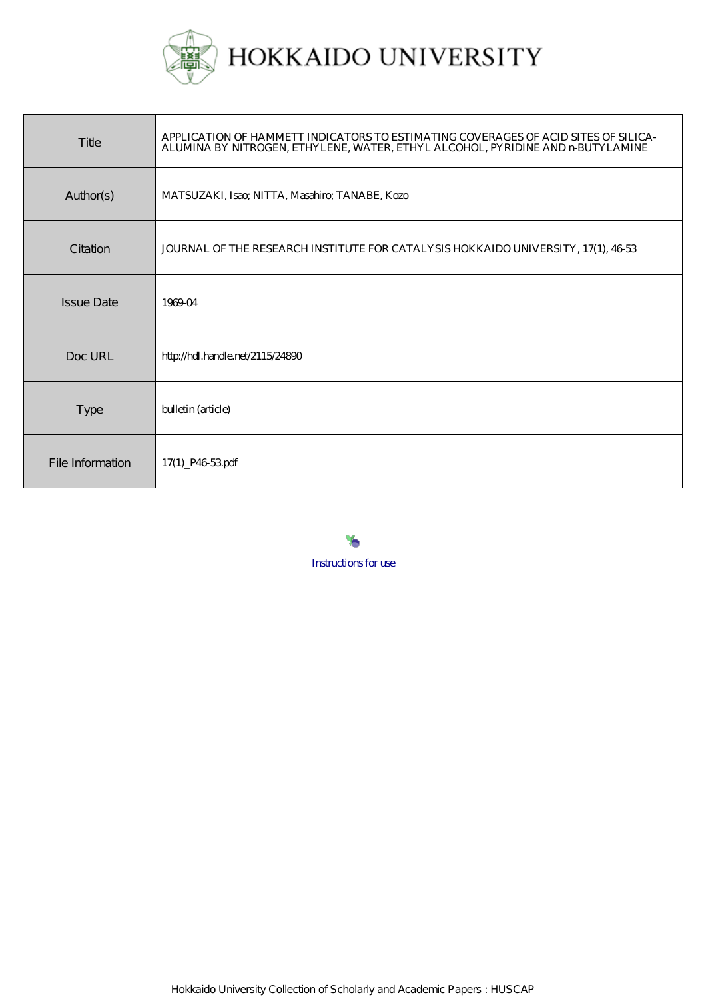

| Title             | APPLICATION OF HAMMETT INDICATORS TO ESTIMATING COVERAGES OF ACID SITES OF SILICA-<br>ALUMINA BY NITROGEN, ETHYLENE, WATER, ETHYL ALCOHOL, PYRIDINE AND nBUTYLAMINE |
|-------------------|---------------------------------------------------------------------------------------------------------------------------------------------------------------------|
| Author(s)         | MATSUZAKI, Isao; NITTA, Masahiro; TANABE, Kozo                                                                                                                      |
| Citation          | JOURNAL OF THE RESEARCH INSTITUTE FOR CATALYSIS HOKKAIDO UNIVERSITY, 17(1), 46-53                                                                                   |
| <b>Issue Date</b> | 1969-04                                                                                                                                                             |
| Doc URL           | http://hdl.handle.net/2115/24890                                                                                                                                    |
| <b>Type</b>       | bulletin (article)                                                                                                                                                  |
| File Information  | 17(1) P4653pdf                                                                                                                                                      |

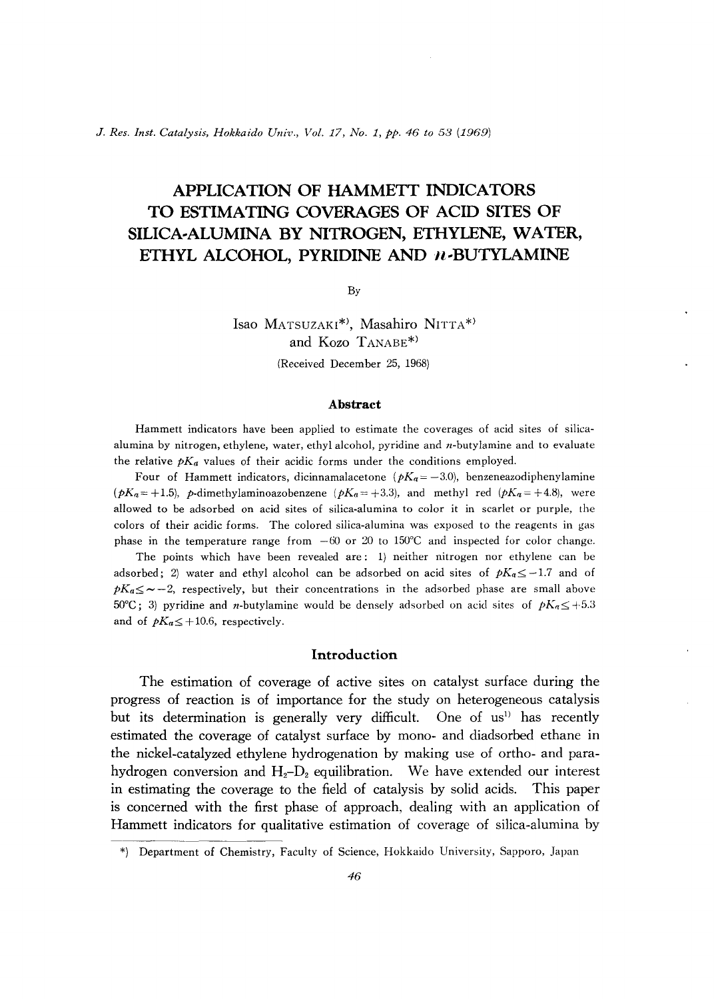J. *Res. 1nst. Catalysis, Hokkaido Univ., Vol.* 17, *No.1, pp.* 46 *to* 53 (1969)

# **APPLICATION OF HAMMETT INDICATORS TO ESTIMATING COVERAGES OF ACID SITES OF SILICA-ALUMINA BY NITROGEN, ETHYLENE, WATER,**  ETHYL ALCOHOL, PYRIDINE AND *n*-BUTYLAMINE

By

Isao MATSUZAKI<sup>\*</sup>, Masahiro NITTA<sup>\*</sup> and Kozo TANABE\*)

(Received December 25, 1968)

#### **Abstract**

Hammett indicators have been applied to estimate the coverages of acid sites of silicaalumina by nitrogen, ethylene, water, ethyl alcohol, pyridine and  $n$ -butylamine and to evaluate the relative  $pK_a$  values of their acidic forms under the conditions employed.

Four of Hammett indicators, dicinnamalacetone ( $pK_a = -3.0$ ), benzeneazodiphenylamine  $(pK_a=+1.5)$ , p-dimethylaminoazobenzene  $(pK_a=+3.3)$ , and methyl red  $(pK_a=+4.8)$ , were allowed to be adsorbed on acid sites of silica-alumina to color it in scarlet or purple, the colors of their acidic forms. The colored silica-alumina was exposed to the reagents in gas phase in the temperature range from  $-60$  or 20 to 150°C and inspected for color change.

The points which have been revealed are: 1) neither nitrogen nor ethylene can be adsorbed; 2) water and ethyl alcohol can be adsorbed on acid sites of  $pK_a \leq -1.7$  and of  $pK_a \leq \sim -2$ , respectively, but their concentrations in the adsorbed phase are small above 50°C; 3) pyridine and *n*-butylamine would be densely adsorbed on acid sites of  $pK_n \leq +5.3$ and of  $pK_a \leq +10.6$ , respectively.

## **Introduction**

The estimation of coverage of active sites on catalyst surface during the progress of reaction is of importance for the study on heterogeneous catalysis but its determination is generally very difficult. One of us<sup>1)</sup> has recently estimated the coverage of catalyst surface by mono- and diadsorbed ethane in the nickel-catalyzed ethylene hydrogenation by making use of ortho- and parahydrogen conversion and  $H_2-D_2$  equilibration. We have extended our interest **in** estimating the coverage to the field of catalysis by solid acids. This paper is concerned with the first phase of approach, dealing with an application of Hammett indicators for qualitative estimation of coverage of silica-alumina by

<sup>\*)</sup> Department of Chemistry, Faculty of Science, Hokkaido University, Sapporo, Japan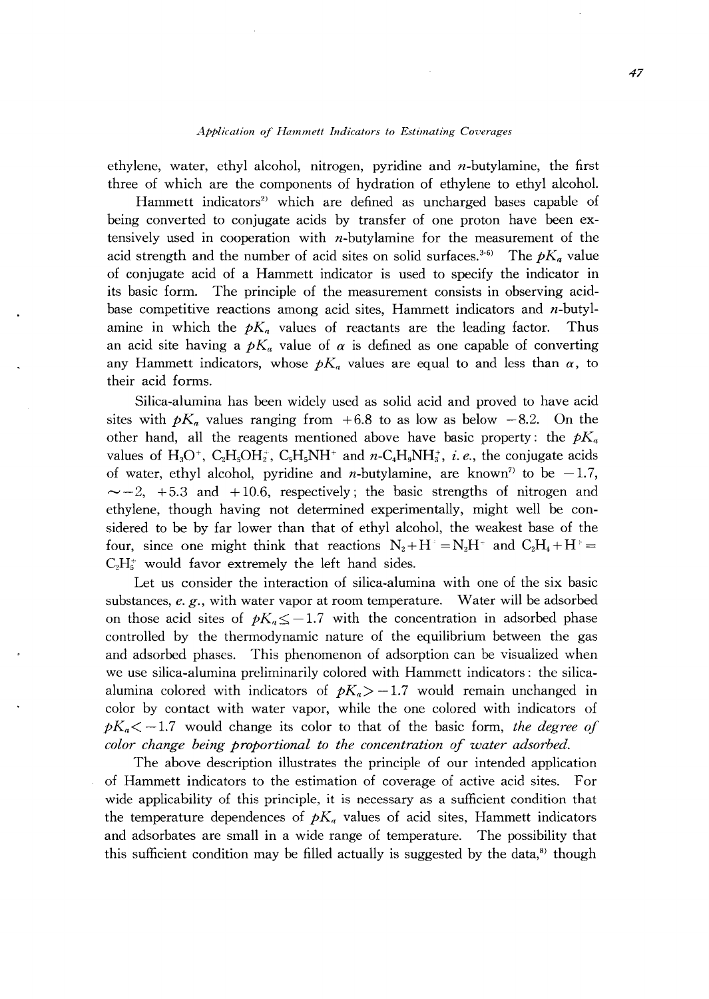#### *Application of Hammett Indicators to Estimating Coverages*

ethylene, water, ethyl alcohol, nitrogen, pyridine and  $n$ -butylamine, the first three of which are the components of hydration of ethylene to ethyl alcohol.

Hammett indicators<sup>2)</sup> which are defined as uncharged bases capable of being converted to conjugate acids by transfer of one proton have been extensively used in cooperation with  $n$ -butylamine for the measurement of the acid strength and the number of acid sites on solid surfaces.<sup>3-6)</sup> The  $pK_a$  value of conjugate acid of a Hammett indicator is used to specify the indicator in its basic form. The principle of the measurement consists in observing acidbase competitive reactions among acid sites, Hammett indicators and *n-butyl*amine in which the  $pK_a$  values of reactants are the leading factor. Thus an acid site having a  $pK_a$  value of  $\alpha$  is defined as one capable of converting any Hammett indicators, whose  $pK_a$  values are equal to and less than  $\alpha$ , to their acid forms.

Silica-alumina has been widely used as solid acid and proved to have acid sites with  $pK_a$  values ranging from  $+6.8$  to as low as below  $-8.2$ . On the other hand, all the reagents mentioned above have basic property: the  $pK_a$ values of H<sub>3</sub>O<sup>+</sup>, C<sub>2</sub>H<sub>5</sub>OH<sub>2</sub><sup>+</sup>, C<sub>3</sub>H<sub>5</sub>NH<sup>+</sup> and *n*-C<sub>4</sub>H<sub>9</sub>NH<sub>3</sub><sup>+</sup>, *i.e.*, the conjugate acids of water, ethyl alcohol, pyridine and *n*-butylamine, are known<sup>7</sup> to be  $-1.7$ ,  $\sim$  -2, +5.3 and +10.6, respectively; the basic strengths of nitrogen and ethylene, though having not determined experimentally, might well be considered to be by far lower than that of ethyl alcohol, the weakest base of the four, since one might think that reactions  $N_2 + H^* = N_2H^*$  and  $C_2H_4 + H^* =$  $C_2H_5^+$  would favor extremely the left hand sides.

Let us consider the interaction of silica-alumina with one of the six basic substances, *e. g.,* with water vapor at room temperature. Water will be adsorbed on those acid sites of  $pK_a \leq -1.7$  with the concentration in adsorbed phase controlled by the thermodynamic nature of the equilibrium between the gas and adsorbed phases. This phenomenon of adsorption can be visualized when we use silica-alumina preliminarily colored with Hammett indicators: the silicaalumina colored with indicators of  $pK_a$   $>$  -1.7 would remain unchanged in color by contact with water vapor, while the one colored with indicators of  $pK_n < -1.7$  would change its color to that of the basic form, *the degree of color change being proportional to the concentration of water adsorbed.* 

The above description illustrates the principle of our intended application of Hammett indicators to the estimation of coverage of active acid sites. For wide applicability of this principle, it is necessary as a sufficient condition that the temperature dependences of  $pK_a$  values of acid sites, Hammett indicators and adsorbates are small in a wide range of temperature. The possibility that this sufficient condition may be filled actually is suggested by the data, $\delta$ ) though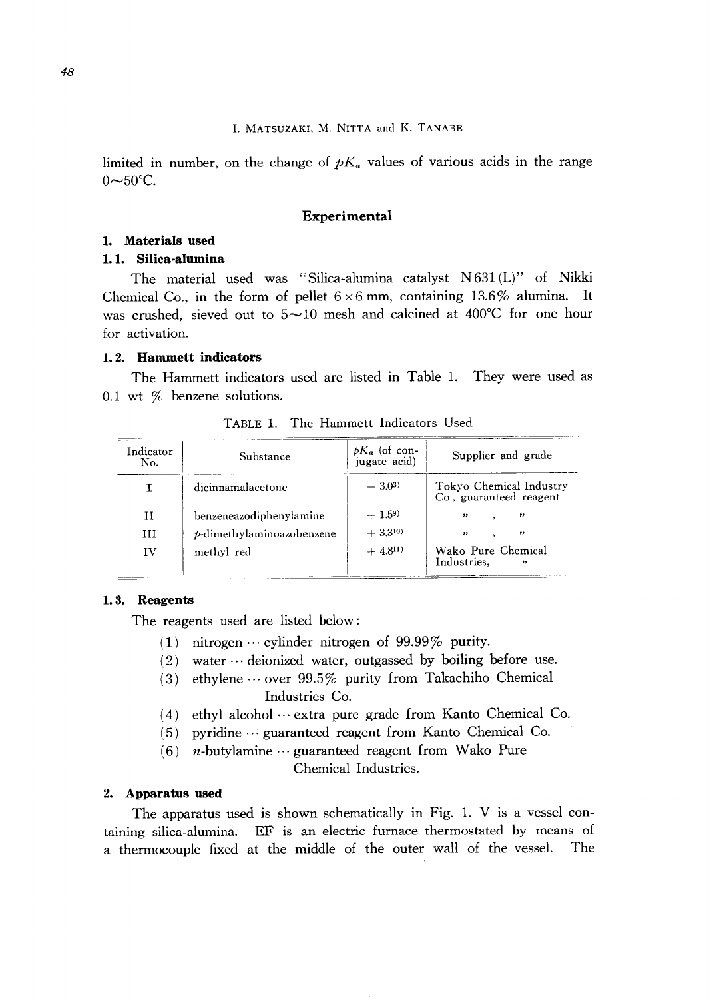limited in number, on the change of  $pK_a$  values of various acids in the range  $0 \sim 50^{\circ}$ C.

## **Experimental**

### **1. Materials used**

## **1. 1. Silica-alumina**

The material used was "Silica-alumina catalyst N 631 (L)" of Nikki Chemical Co., in the form of pellet  $6 \times 6$  mm, containing 13.6% alumina. It was crushed, sieved out to  $5 \sim 10$  mesh and calcined at 400°C for one hour for activation.

### **1. 2. Hammett indicators**

The Hammett indicators used are listed in Table 1. They were used as 0.1 wt % benzene solutions.

| Indicator<br>No. | Substance                    | $pK_a$ (of con-<br>jugate acid) | Supplier and grade                                     |
|------------------|------------------------------|---------------------------------|--------------------------------------------------------|
|                  | dicinnamalacetone            | $-3.0^{3}$                      | Tokyo Chemical Industry<br>Co., guaranteed reagent     |
| и                | benzeneazodiphenylamine      | $+1.59$                         | $, \,$<br>,,                                           |
| ИI               | $p$ -dimethylaminoazobenzene | $+3.3^{10}$                     | $, \,$<br>"                                            |
| IV               | methyl red                   | $+4.8^{11}$                     | Wako Pure Chemical<br>Industries.<br>$^{\prime\prime}$ |

TABLE 1. The Hammett Indicators Used

## **1. 3. Reagents**

The reagents used are listed below:

- (1) nitrogen  $\cdots$  cylinder nitrogen of 99.99% purity.
- $(2)$  water  $\cdots$  deionized water, outgassed by boiling before use.
- (3) ethylene  $\cdots$  over 99.5% purity from Takachiho Chemical Industries Co.
- (4) ethyl alcohol  $\cdots$  extra pure grade from Kanto Chemical Co.
- (5) pyridine  $\cdots$  guaranteed reagent from Kanto Chemical Co.
- $(6)$  *n*-butylamine  $\cdots$  guaranteed reagent from Wako Pure Chemical Industries.

#### **2. Apparatus used**

The apparatus used is shown schematically in Fig. 1. V is a vessel containing silica-alumina. EF is an electric furnace thermostated by means of a thermocouple fixed at the middle of the outer wall of the vessel. The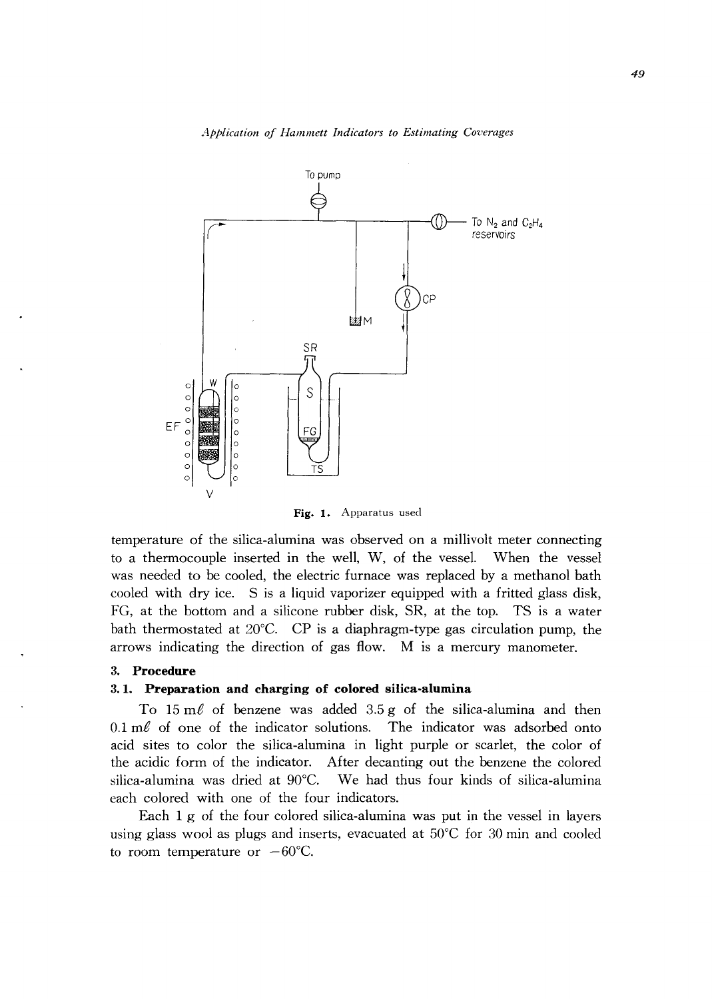*Application of Hammett Indicators to Estimating Coverages* 



Fig. 1. Apparatus used

temperature of the silica-alumina was observed on a millivolt meter connecting to a thermocouple inserted in the well, W, of the vessel. When the vessel was needed to be cooled, the electric furnace was replaced by a methanol bath cooled with dry ice. S is a liquid vaporizer equipped with a fritted glass disk, FG, at the bottom and a silicone rubber disk, SR, at the top. TS is a water bath thermostated at 20°C. CP is a diaphragm-type gas circulation pump, the arrows indicating the direction of gas flow. M is a mercury manometer.

#### 3. **Procedure**

## 3. **1. Preparation and charging of colored silica-alumina**

To  $15 \text{ m}$  of benzene was added  $3.5 \text{ g}$  of the silica-alumina and then  $0.1 \text{ m}$  of one of the indicator solutions. The indicator was adsorbed onto acid sites to color the silica-alumina in light purple or scarlet, the color of the acidic form of the indicator. After decanting out the benzene the colored silica-alumina was dried at 90°C. We had thus four kinds of silica-alumina each colored with one of the four indicators.

Each 1 g of the four colored silica-alumina was put in the vessel in layers using glass wool as plugs and inserts, evacuated at 50°C for 30 min and cooled to room temperature or  $-60^{\circ}$ C.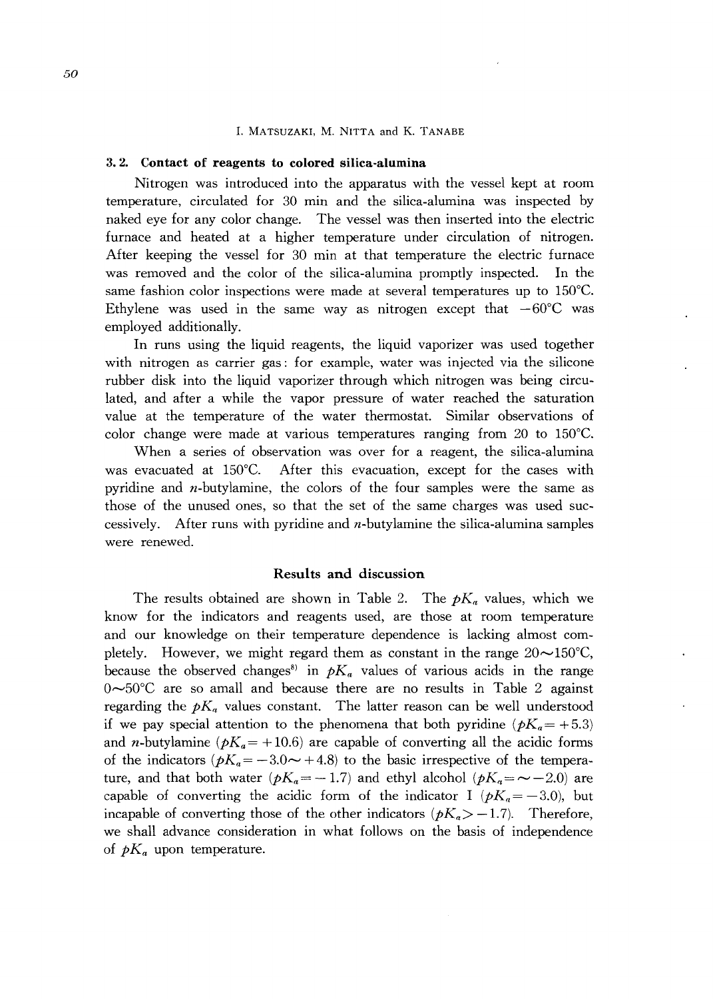#### 1. MATSUZAKI, M. NITTA and K. TANABE

#### 3. 2. **Contact of reagents to colored silica-alumina**

Nitrogen was introduced into the apparatus with the vessel kept at room temperature, circulated for 30 min and the silica-alumina was inspected by naked eye for any color change. The vessel was then inserted into the electric furnace and heated at a higher temperature under circulation of nitrogen. After keeping the vessel for 30 min at that temperature the electric furnace was removed and the color of the silica-alumina promptly inspected. In the same fashion color inspections were made at several temperatures up to 150°C. Ethylene was used in the same way as nitrogen except that  $-60^{\circ}$ C was employed additionally.

In runs using the liquid reagents, the liquid vaporizer was used together with nitrogen as carrier gas: for example, water was injected via the silicone rubber disk into the liquid vaporizer through which nitrogen was being circulated, and after a while the vapor pressure of water reached the saturation value at the temperature of the water thermostat. Similar observations of color change were made at various temperatures ranging from 20 to 150°C.

When a series of observation was over for a reagent, the silica-alumina was evacuated at 150°C. After this evacuation, except for the cases with pyridine and  $n$ -butylamine, the colors of the four samples were the same as those of the unused ones, so that the set of the same charges was used successively. After runs with pyridine and n-butylamine the silica-alumina samples were renewed.

## Results **and** discussion

The results obtained are shown in Table 2. The  $pK_a$  values, which we know for the indicators and reagents used, are those at room temperature and our knowledge on their temperature dependence is lacking almost completely. However, we might regard them as constant in the range  $20\sim150^{\circ}$ C, because the observed changes<sup>8</sup> in  $pK_a$  values of various acids in the range  $0 \sim 50^{\circ}$ C are so amall and because there are no results in Table 2 against regarding the  $pK_a$  values constant. The latter reason can be well understood if we pay special attention to the phenomena that both pyridine  $(pK_a=+5.3)$ and *n*-butylamine  $(pK_a = +10.6)$  are capable of converting all the acidic forms of the indicators  $(pK_a = -3.0 \rightarrow +4.8)$  to the basic irrespective of the temperature, and that both water  $(pK_a = -1.7)$  and ethyl alcohol  $(pK_a = -2.0)$  are capable of converting the acidic form of the indicator I  $(pK_a = -3.0)$ , but incapable of converting those of the other indicators  $(pK_a > -1.7)$ . Therefore, we shall advance consideration in what follows on the basis of independence of  $pK_a$  upon temperature.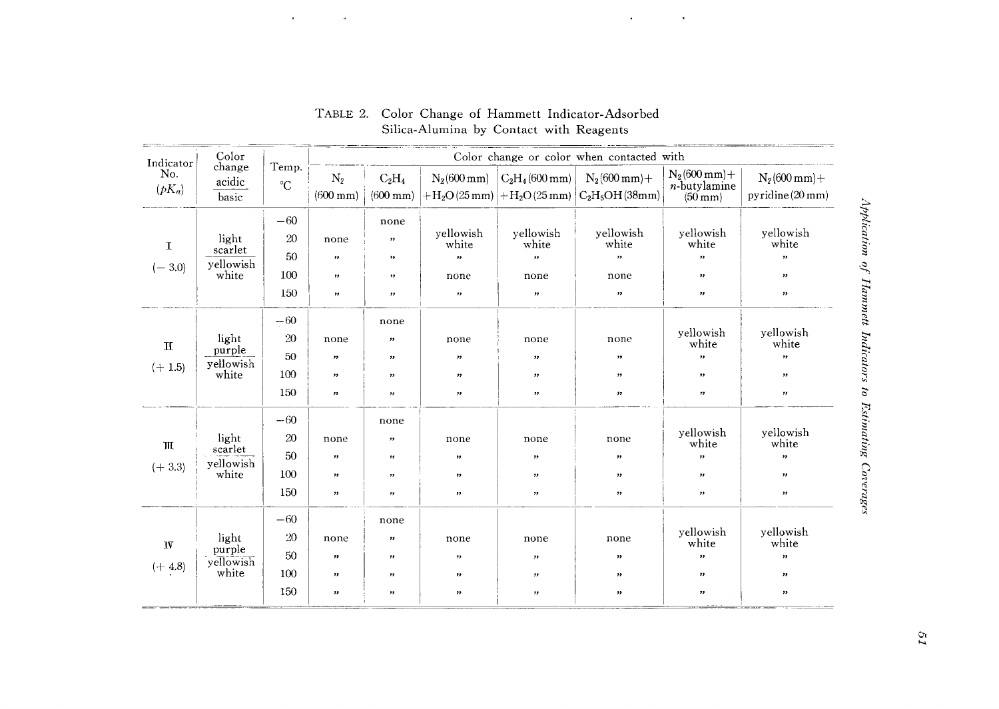| Indicator<br>No.<br>$(pK_a)$ | Color<br>change<br>acidic<br>basic     | Temp.<br>$\rm ^{\circ}C$        | Color change or color when contacted with            |                                                                                |                                          |                                                             |                                                                                                 |                                                                                         |                                                                               |
|------------------------------|----------------------------------------|---------------------------------|------------------------------------------------------|--------------------------------------------------------------------------------|------------------------------------------|-------------------------------------------------------------|-------------------------------------------------------------------------------------------------|-----------------------------------------------------------------------------------------|-------------------------------------------------------------------------------|
|                              |                                        |                                 | $\mathrm{N}_2$<br>$(600 \, \text{mm})$               | $C_2H_4$<br>$(600 \; \text{mm})$                                               | $N_2(600 \text{ mm})$                    | $C_2H_4(600 \text{ mm})$                                    | $N_2(600 \text{ mm}) +$<br>$ +H_2O(25 \text{ mm}) +H_2O(25 \text{ mm}) C_2H_5OH(38 \text{ mm})$ | $N_2(600 \text{ mm}) +$<br>$n$ -butylamine<br>$(50 \text{ mm})$                         | $N_2(600\,mm) +$<br>pyridine (20 mm)                                          |
| $\mathbf T$<br>$(-3.0)$      | light<br>scarlet<br>yellowish<br>white | $-60$<br>20<br>50<br>100<br>150 | none<br>$, \,$<br>$\boldsymbol{\mathcal{H}}$<br>,,   | none<br>$\pmb{\cdot}$<br>,,<br>,,<br>,,                                        | yellowish<br>white<br>,<br>none<br>,,    | yellowish<br>white<br>$, \,$<br>none<br>$\pmb{\mathcal{V}}$ | yellowish<br>white<br>,,<br>none<br>$\pmb{\cdot}$                                               | yellowish<br>white<br>,,<br>, 7<br>$\pmb{\mathcal{V}}$                                  | yellowish<br>white<br>$\boldsymbol{\eta}$<br>$, \,$<br>$, \,$                 |
| $\mathbf H$<br>$(+ 1.5)$     | light<br>purple<br>yellowish<br>white  | $-60$<br>20<br>50<br>100<br>150 | none<br>$^{\rm \prime}$<br>,,<br>$\boldsymbol{\eta}$ | none<br>$\, \,$<br>$, \,$<br>, ,<br>$, \,$                                     | none<br>$, \,$<br>,,<br>$\pmb{\gamma}$   | none<br>,,<br>,,<br>$\boldsymbol{\mathcal{D}}$              | none<br>,,<br>$\pmb{\gamma}$<br>$\pmb{\cdot}$                                                   | yellowish<br>white<br>"<br>,,<br>$, \,$                                                 | yellowish<br>white<br>"<br>$\mathbf{z}$<br>$\boldsymbol{\gamma}$              |
| $\mathbb H$<br>$(+3.3)$      | light<br>scarlet<br>yellowish<br>white | $-60$<br>20<br>50<br>100<br>150 | none<br>,,<br>"<br>$\pmb{\mathcal{H}}$               | none<br>$, \,$<br>$\pmb{\cdot}$<br>$\boldsymbol{\mathcal{P}}$<br>$\pmb{\cdot}$ | none<br>,,<br>, ,<br>$\pmb{\mathcal{V}}$ | none<br>, ,<br>$, \,$<br>$,\,$                              | none<br>,,<br>$\boldsymbol{\mathcal{P}}$<br>,,                                                  | yellowish<br>white<br>$\mathbf{r}$<br>$\pmb{\mathcal{P}}$<br>$\boldsymbol{\mathcal{H}}$ | yellowish<br>white<br>$, \,$<br>$^{\rm \prime}$<br>$\boldsymbol{\mathcal{P}}$ |
| <b>IV</b><br>$(+ 4.8)$       | light<br>purple<br>yellowish<br>white  | $-60$<br>20<br>50<br>100<br>150 | none<br>$\pmb{\mathcal{V}}$<br>,,<br>,,              | none<br>$, \,$<br>$, \,$<br>$, \,$<br>,,                                       | none<br>,,<br>$^{\rm \prime}$<br>$, \,$  | none<br>,,<br>,,<br>,,                                      | none<br>$, \,$<br>$^{\rm 32}$<br>$\pmb{\mathcal{P}}$                                            | yellowish<br>white<br>$\bullet$<br>$\pmb{\mathcal{P}}$<br>,,                            | yellowish<br>white<br>$^{\prime\prime}$<br>$\pmb{\cdot}$<br>$, \,$            |

TABLE 2. Color Change of Hammett Indicator-Adsorbed Silica-Alumina by Contact with Reagents

 $\mathcal{L}$ 

 $\lambda$ 

 $\epsilon$ 

 $\bar{u}$ 

phi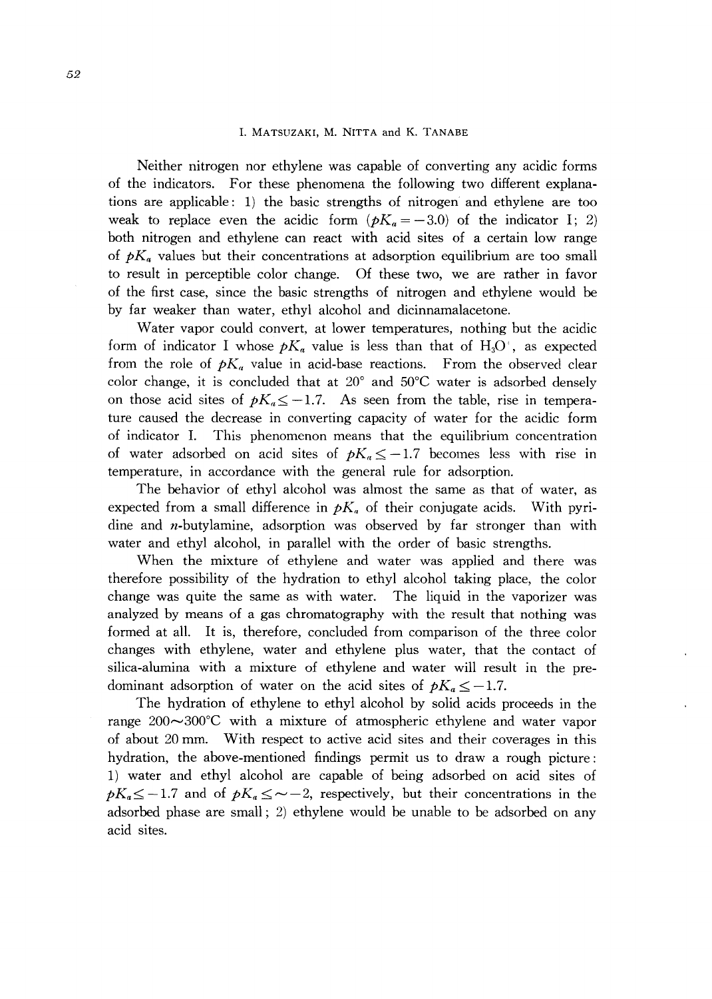#### I. MATSUZAKI, M. NITTA and K. TANABE

Neither nitrogen nor ethylene was capable of converting any acidic forms of the indicators. For these phenomena the following two different explanations are applicable: 1) the basic strengths of nitrogen and ethylene are too weak to replace even the acidic form  $(pK_a = -3.0)$  of the indicator I; 2) both nitrogen and ethylene can react with acid sites of a certain low range of  $pK_a$  values but their concentrations at adsorption equilibrium are too small to result in perceptible color change. Of these two, we are rather in favor of the first case, since the basic strengths of nitrogen and ethylene would be by far weaker than water, ethyl alcohol and dicinnamalacetone.

Water vapor could convert, at lower temperatures, nothing but the acidic form of indicator I whose  $pK_a$  value is less than that of  $H_3O^+$ , as expected from the role of  $pK_a$  value in acid-base reactions. From the observed clear color change, it is concluded that at 20° and 50°C water is adsorbed densely on those acid sites of  $pK_a \leq -1.7$ . As seen from the table, rise in temperature caused the decrease in converting capacity of water for the acidic form of indicator 1. This phenomenon means that the equilibrium concentration of water adsorbed on acid sites of  $pK_n \leq -1.7$  becomes less with rise in temperature, in accordance with the general rule for adsorption.

The behavior of ethyl alcohol was almost the same as that of water, as expected from a small difference in  $pK_a$  of their conjugate acids. With pyridine and n-butylamine, adsorption was observed by far stronger than with water and ethyl alcohol, in parallel with the order of basic strengths.

When the mixture of ethylene and water was applied and there was therefore possibility of the hydration to ethyl alcohol taking place, the color change was quite the same as with water. The liquid in the vaporizer was analyzed by means of a gas chromatography with the result that nothing was formed at all. It is, therefore, concluded from comparison of the three color changes with ethylene, water and ethylene plus water, that the contact of silica-alumina with a mixture of ethylene and water will result in the predominant adsorption of water on the acid sites of  $pK_a \leq -1.7$ .

The hydration of ethylene to ethyl alcohol by solid acids proceeds in the range  $200 \sim 300^{\circ}$ C with a mixture of atmospheric ethylene and water vapor of about 20 mm. With respect to active acid sites and their coverages in this hydration, the above-mentioned findings permit us to draw a rough picture: 1) water and ethyl alcohol are capable of being adsorbed on acid sites of  $pK_a \leq -1.7$  and of  $pK_a \leq -2$ , respectively, but their concentrations in the adsorbed phase are small; 2) ethylene would be unable to be adsorbed on any acid sites.